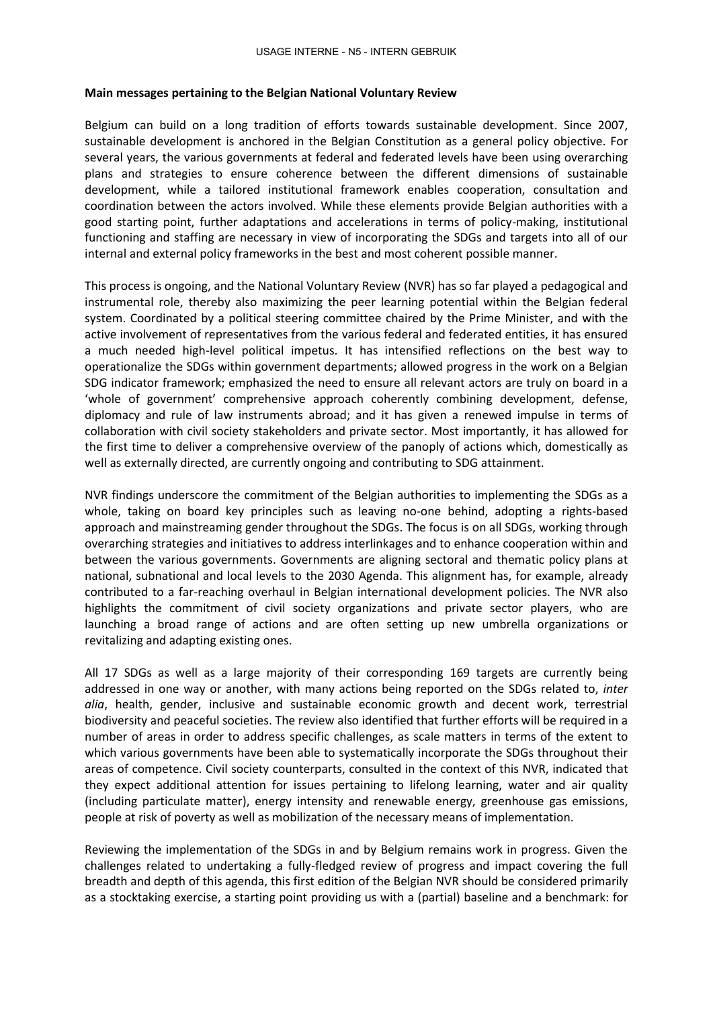## **Main messages pertaining to the Belgian National Voluntary Review**

Belgium can build on a long tradition of efforts towards sustainable development. Since 2007, sustainable development is anchored in the Belgian Constitution as a general policy objective. For several years, the various governments at federal and federated levels have been using overarching plans and strategies to ensure coherence between the different dimensions of sustainable development, while a tailored institutional framework enables cooperation, consultation and coordination between the actors involved. While these elements provide Belgian authorities with a good starting point, further adaptations and accelerations in terms of policy-making, institutional functioning and staffing are necessary in view of incorporating the SDGs and targets into all of our internal and external policy frameworks in the best and most coherent possible manner.

This process is ongoing, and the National Voluntary Review (NVR) has so far played a pedagogical and instrumental role, thereby also maximizing the peer learning potential within the Belgian federal system. Coordinated by a political steering committee chaired by the Prime Minister, and with the active involvement of representatives from the various federal and federated entities, it has ensured a much needed high-level political impetus. It has intensified reflections on the best way to operationalize the SDGs within government departments; allowed progress in the work on a Belgian SDG indicator framework; emphasized the need to ensure all relevant actors are truly on board in a 'whole of government' comprehensive approach coherently combining development, defense, diplomacy and rule of law instruments abroad; and it has given a renewed impulse in terms of collaboration with civil society stakeholders and private sector. Most importantly, it has allowed for the first time to deliver a comprehensive overview of the panoply of actions which, domestically as well as externally directed, are currently ongoing and contributing to SDG attainment.

NVR findings underscore the commitment of the Belgian authorities to implementing the SDGs as a whole, taking on board key principles such as leaving no-one behind, adopting a rights-based approach and mainstreaming gender throughout the SDGs. The focus is on all SDGs, working through overarching strategies and initiatives to address interlinkages and to enhance cooperation within and between the various governments. Governments are aligning sectoral and thematic policy plans at national, subnational and local levels to the 2030 Agenda. This alignment has, for example, already contributed to a far-reaching overhaul in Belgian international development policies. The NVR also highlights the commitment of civil society organizations and private sector players, who are launching a broad range of actions and are often setting up new umbrella organizations or revitalizing and adapting existing ones.

All 17 SDGs as well as a large majority of their corresponding 169 targets are currently being addressed in one way or another, with many actions being reported on the SDGs related to, *inter alia*, health, gender, inclusive and sustainable economic growth and decent work, terrestrial biodiversity and peaceful societies. The review also identified that further efforts will be required in a number of areas in order to address specific challenges, as scale matters in terms of the extent to which various governments have been able to systematically incorporate the SDGs throughout their areas of competence. Civil society counterparts, consulted in the context of this NVR, indicated that they expect additional attention for issues pertaining to lifelong learning, water and air quality (including particulate matter), energy intensity and renewable energy, greenhouse gas emissions, people at risk of poverty as well as mobilization of the necessary means of implementation.

Reviewing the implementation of the SDGs in and by Belgium remains work in progress. Given the challenges related to undertaking a fully-fledged review of progress and impact covering the full breadth and depth of this agenda, this first edition of the Belgian NVR should be considered primarily as a stocktaking exercise, a starting point providing us with a (partial) baseline and a benchmark: for